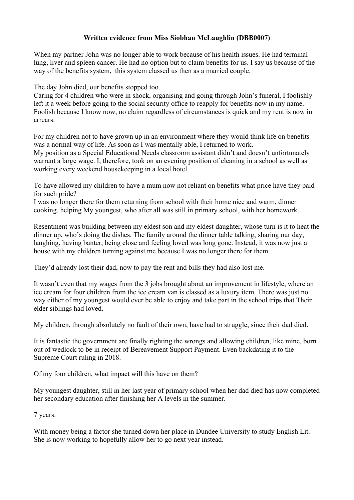## **Written evidence from Miss Siobhan McLaughlin (DBB0007)**

When my partner John was no longer able to work because of his health issues. He had terminal lung, liver and spleen cancer. He had no option but to claim benefits for us. I say us because of the way of the benefits system, this system classed us then as a married couple.

The day John died, our benefits stopped too.

Caring for 4 children who were in shock, organising and going through John's funeral, I foolishly left it a week before going to the social security office to reapply for benefits now in my name. Foolish because I know now, no claim regardless of circumstances is quick and my rent is now in arrears.

For my children not to have grown up in an environment where they would think life on benefits was a normal way of life. As soon as I was mentally able, I returned to work. My position as a Special Educational Needs classroom assistant didn't and doesn't unfortunately warrant a large wage. I, therefore, took on an evening position of cleaning in a school as well as working every weekend housekeeping in a local hotel.

To have allowed my children to have a mum now not reliant on benefits what price have they paid for such pride?

I was no longer there for them returning from school with their home nice and warm, dinner cooking, helping My youngest, who after all was still in primary school, with her homework.

Resentment was building between my eldest son and my eldest daughter, whose turn is it to heat the dinner up, who's doing the dishes. The family around the dinner table talking, sharing our day, laughing, having banter, being close and feeling loved was long gone. Instead, it was now just a house with my children turning against me because I was no longer there for them.

They'd already lost their dad, now to pay the rent and bills they had also lost me.

It wasn't even that my wages from the 3 jobs brought about an improvement in lifestyle, where an ice cream for four children from the ice cream van is classed as a luxury item. There was just no way either of my youngest would ever be able to enjoy and take part in the school trips that Their elder siblings had loved.

My children, through absolutely no fault of their own, have had to struggle, since their dad died.

It is fantastic the government are finally righting the wrongs and allowing children, like mine, born out of wedlock to be in receipt of Bereavement Support Payment. Even backdating it to the Supreme Court ruling in 2018.

Of my four children, what impact will this have on them?

My youngest daughter, still in her last year of primary school when her dad died has now completed her secondary education after finishing her A levels in the summer.

7 years.

With money being a factor she turned down her place in Dundee University to study English Lit. She is now working to hopefully allow her to go next year instead.